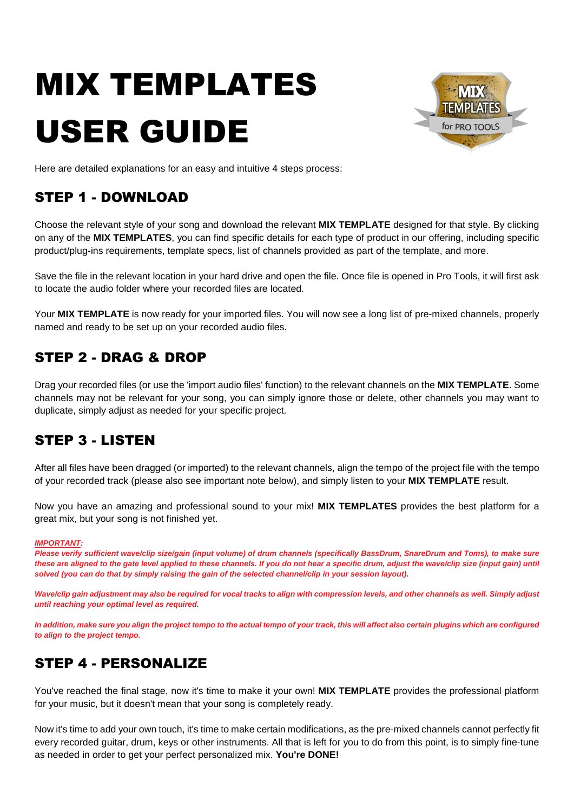# MIX TEMPLATES USER GUIDE



Here are detailed explanations for an easy and intuitive 4 steps process:

## STEP 1 - DOWNLOAD

Choose the relevant style of your song and download the relevant **MIX TEMPLATE** designed for that style. By clicking on any of the **MIX TEMPLATES**, you can find specific details for each type of product in our offering, including specific product/plug-ins requirements, template specs, list of channels provided as part of the template, and more.

Save the file in the relevant location in your hard drive and open the file. Once file is opened in Pro Tools, it will first ask to locate the audio folder where your recorded files are located.

Your **MIX TEMPLATE** is now ready for your imported files. You will now see a long list of pre-mixed channels, properly named and ready to be set up on your recorded audio files.

## STEP 2 - DRAG & DROP

Drag your recorded files (or use the 'import audio files' function) to the relevant channels on the **MIX TEMPLATE**. Some channels may not be relevant for your song, you can simply ignore those or delete, other channels you may want to duplicate, simply adjust as needed for your specific project.

### STEP 3 - LISTEN

After all files have been dragged (or imported) to the relevant channels, align the tempo of the project file with the tempo of your recorded track (please also see important note below), and simply listen to your **MIX TEMPLATE** result.

Now you have an amazing and professional sound to your mix! **MIX TEMPLATES** provides the best platform for a great mix, but your song is not finished yet.

#### *IMPORTANT:*

Please verify sufficient wave/clip size/gain (input volume) of drum channels (specifically BassDrum, SnareDrum and Toms), to make sure these are aligned to the gate level applied to these channels. If you do not hear a specific drum, adjust the wave/clip size (input gain) until solved (you can do that by simply raising the gain of the selected channel/clip in your session layout).

Wave/clip gain adjustment may also be required for vocal tracks to align with compression levels, and other channels as well. Simply adjust *until reaching your optimal level as required.*

In addition, make sure you align the project tempo to the actual tempo of your track, this will affect also certain plugins which are configured *to align to the project tempo.*

## STEP 4 - PERSONALIZE

You've reached the final stage, now it's time to make it your own! **MIX TEMPLATE** provides the professional platform for your music, but it doesn't mean that your song is completely ready.

Now it's time to add your own touch, it's time to make certain modifications, as the pre-mixed channels cannot perfectly fit every recorded guitar, drum, keys or other instruments. All that is left for you to do from this point, is to simply fine-tune as needed in order to get your perfect personalized mix. **You're DONE!**